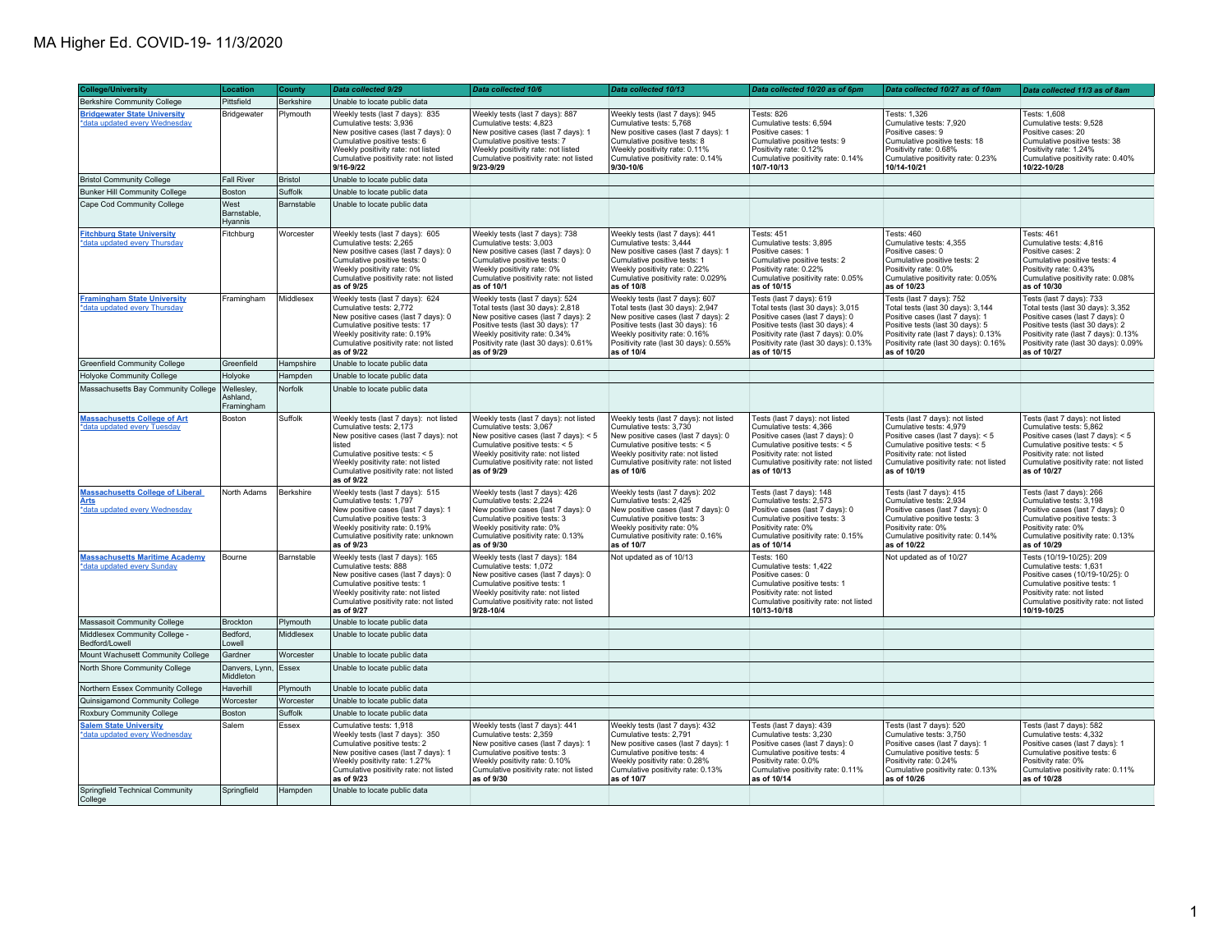| <b>College/University</b>                                                               | Location                             | <b>County</b> | Data collected 9/29                                                                                                                                                                                                                                  | Data collected 10/6                                                                                                                                                                                                                        | Data collected 10/13                                                                                                                                                                                                                     | Data collected 10/20 as of 6pm                                                                                                                                                                                                      | Data collected 10/27 as of 10am                                                                                                                                                                                                      | Data collected 11/3 as of 8am                                                                                                                                                                                                        |
|-----------------------------------------------------------------------------------------|--------------------------------------|---------------|------------------------------------------------------------------------------------------------------------------------------------------------------------------------------------------------------------------------------------------------------|--------------------------------------------------------------------------------------------------------------------------------------------------------------------------------------------------------------------------------------------|------------------------------------------------------------------------------------------------------------------------------------------------------------------------------------------------------------------------------------------|-------------------------------------------------------------------------------------------------------------------------------------------------------------------------------------------------------------------------------------|--------------------------------------------------------------------------------------------------------------------------------------------------------------------------------------------------------------------------------------|--------------------------------------------------------------------------------------------------------------------------------------------------------------------------------------------------------------------------------------|
| <b>Berkshire Community College</b>                                                      | Pittsfield                           | Berkshire     | Unable to locate public data                                                                                                                                                                                                                         |                                                                                                                                                                                                                                            |                                                                                                                                                                                                                                          |                                                                                                                                                                                                                                     |                                                                                                                                                                                                                                      |                                                                                                                                                                                                                                      |
| <b>Bridgewater State University</b><br>*data updated every Wednesday                    | Bridgewater                          | Plymouth      | Weekly tests (last 7 days): 835<br>Cumulative tests: 3,936<br>New positive cases (last 7 days): 0<br>Cumulative positive tests: 6<br>Weekly positivity rate: not listed<br>Cumulative positivity rate: not listed<br>9/16-9/22                       | Weekly tests (last 7 days): 887<br>Cumulative tests: 4,823<br>New positive cases (last 7 days): 1<br>Cumulative positive tests: 7<br>Weekly positivity rate: not listed<br>Cumulative positivity rate: not listed<br>9/23-9/29             | Weekly tests (last 7 days): 945<br>Cumulative tests: 5,768<br>New positive cases (last 7 days): 1<br>Cumulative positive tests: 8<br>Weekly positivity rate: 0.11%<br>Cumulative positivity rate: 0.14%<br>9/30-10/6                     | <b>Tests: 826</b><br>Cumulative tests: 6,594<br>Positive cases: 1<br>Cumulative positive tests: 9<br>Positivity rate: 0.12%<br>Cumulative positivity rate: 0.14%<br>10/7-10/13                                                      | Tests: 1,326<br>Cumulative tests: 7,920<br>Positive cases: 9<br>Cumulative positive tests: 18<br>Positivity rate: 0.68%<br>Cumulative positivity rate: 0.23%<br>10/14-10/21                                                          | Tests: 1.608<br>Cumulative tests: 9,528<br>Positive cases: 20<br>Cumulative positive tests: 38<br>Positivity rate: 1.24%<br>Cumulative positivity rate: 0.40%<br>10/22-10/28                                                         |
| <b>Bristol Community College</b>                                                        | <b>Fall River</b>                    | Bristol       | Unable to locate public data                                                                                                                                                                                                                         |                                                                                                                                                                                                                                            |                                                                                                                                                                                                                                          |                                                                                                                                                                                                                                     |                                                                                                                                                                                                                                      |                                                                                                                                                                                                                                      |
| <b>Bunker Hill Community College</b>                                                    | Boston                               | Suffolk       | Unable to locate public data                                                                                                                                                                                                                         |                                                                                                                                                                                                                                            |                                                                                                                                                                                                                                          |                                                                                                                                                                                                                                     |                                                                                                                                                                                                                                      |                                                                                                                                                                                                                                      |
| Cape Cod Community College                                                              | West<br>Barnstable,<br>Hyannis       | Barnstable    | Unable to locate public data                                                                                                                                                                                                                         |                                                                                                                                                                                                                                            |                                                                                                                                                                                                                                          |                                                                                                                                                                                                                                     |                                                                                                                                                                                                                                      |                                                                                                                                                                                                                                      |
| <b>Fitchburg State University</b><br>*data updated every Thursday                       | Fitchburg                            | Worcester     | Weekly tests (last 7 days): 605<br>Cumulative tests: 2,265<br>New positive cases (last 7 days): 0<br>Cumulative positive tests: 0<br>Weekly positivity rate: 0%<br>Cumulative positivity rate: not listed<br>as of 9/25                              | Weekly tests (last 7 days): 738<br>Cumulative tests: 3,003<br>New positive cases (last 7 days): 0<br>Cumulative positive tests: 0<br>Weekly positivity rate: 0%<br>Cumulative positivity rate: not listed<br>as of 10/1                    | Weekly tests (last 7 days): 441<br>Cumulative tests: 3,444<br>New positive cases (last 7 days): 1<br>Cumulative positive tests: 1<br>Weekly positivity rate: 0.22%<br>Cumulative positivity rate: 0.029%<br>as of 10/8                   | Tests: 451<br>Cumulative tests: 3.895<br>Positive cases: 1<br>Cumulative positive tests: 2<br>Positivity rate: 0.22%<br>Cumulative positivity rate: 0.05%<br>as of 10/15                                                            | <b>Tests: 460</b><br>Cumulative tests: 4,355<br>Positive cases: 0<br>Cumulative positive tests: 2<br>Positivity rate: 0.0%<br>Cumulative positivity rate: 0.05%<br>as of 10/23                                                       | <b>Tests: 461</b><br>Cumulative tests: 4,816<br>Positive cases: 2<br>Cumulative positive tests: 4<br>Positivity rate: 0.43%<br>Cumulative positivity rate: 0.08%<br>as of 10/30                                                      |
| <b>Framingham State University</b><br>*data updated every Thursday                      | Framingham                           | Middlesex     | Weekly tests (last 7 days): 624<br>Cumulative tests: 2,772<br>New positive cases (last 7 days): 0<br>Cumulative positive tests: 17<br>Weekly positivity rate: 0.19%<br>Cumulative positivity rate: not listed<br>as of 9/22                          | Weekly tests (last 7 days): 524<br>Total tests (last 30 days): 2,818<br>New positive cases (last 7 days): 2<br>Positive tests (last 30 days): 17<br>Weekly positivity rate: 0.34%<br>Positivity rate (last 30 days): 0.61%<br>as of 9/29   | Weekly tests (last 7 days): 607<br>Total tests (last 30 days): 2,947<br>New positive cases (last 7 days): 2<br>Positive tests (last 30 days): 16<br>Weekly positivity rate: 0.16%<br>Positivity rate (last 30 days): 0.55%<br>as of 10/4 | Tests (last 7 days): 619<br>Total tests (last 30 days): 3,015<br>Positive cases (last 7 days): 0<br>Positive tests (last 30 days): 4<br>Positivity rate (last 7 days): 0.0%<br>Positivity rate (last 30 days): 0.13%<br>as of 10/15 | Tests (last 7 days): 752<br>Total tests (last 30 days): 3,144<br>Positive cases (last 7 days): 1<br>Positive tests (last 30 days): 5<br>Positivity rate (last 7 days): 0.13%<br>Positivity rate (last 30 days): 0.16%<br>as of 10/20 | Tests (last 7 days): 733<br>Total tests (last 30 days): 3,352<br>Positive cases (last 7 days): 0<br>Positive tests (last 30 days): 2<br>Positivity rate (last 7 days): 0.13%<br>Positivity rate (last 30 days): 0.09%<br>as of 10/27 |
| <b>Greenfield Community College</b>                                                     | Greenfield                           | Hampshire     | Unable to locate public data                                                                                                                                                                                                                         |                                                                                                                                                                                                                                            |                                                                                                                                                                                                                                          |                                                                                                                                                                                                                                     |                                                                                                                                                                                                                                      |                                                                                                                                                                                                                                      |
| <b>Holyoke Community College</b>                                                        | Holyoke                              | Hampden       | Unable to locate public data                                                                                                                                                                                                                         |                                                                                                                                                                                                                                            |                                                                                                                                                                                                                                          |                                                                                                                                                                                                                                     |                                                                                                                                                                                                                                      |                                                                                                                                                                                                                                      |
| Massachusetts Bay Community College                                                     | Wellesley.<br>Ashland.<br>Framingham | Norfolk       | Unable to locate public data                                                                                                                                                                                                                         |                                                                                                                                                                                                                                            |                                                                                                                                                                                                                                          |                                                                                                                                                                                                                                     |                                                                                                                                                                                                                                      |                                                                                                                                                                                                                                      |
| <b>Massachusetts College of Art</b><br>*data updated every Tuesday                      | Boston                               | Suffolk       | Weekly tests (last 7 days): not listed<br>Cumulative tests: 2,173<br>New positive cases (last 7 days): not<br>listed<br>Cumulative positive tests: < 5<br>Weekly positivity rate: not listed<br>Cumulative positivity rate: not listed<br>as of 9/22 | Weekly tests (last 7 days): not listed<br>Cumulative tests: 3,067<br>New positive cases (last 7 days): < 5<br>Cumulative positive tests: < 5<br>Weekly positivity rate: not listed<br>Cumulative positivity rate: not listed<br>as of 9/29 | Weekly tests (last 7 days): not listed<br>Cumulative tests: 3,730<br>New positive cases (last 7 days): 0<br>Cumulative positive tests: < 5<br>Weekly positivity rate: not listed<br>Cumulative positivity rate: not listed<br>as of 10/6 | Tests (last 7 days): not listed<br>Cumulative tests: 4,366<br>Positive cases (last 7 days): 0<br>Cumulative positive tests: < 5<br>Positivity rate: not listed<br>Cumulative positivity rate: not listed<br>as of 10/13             | Tests (last 7 days): not listed<br>Cumulative tests: 4,979<br>Positive cases (last 7 days): < 5<br>Cumulative positive tests: < 5<br>Positivity rate: not listed<br>Cumulative positivity rate: not listed<br>as of 10/19            | Tests (last 7 days): not listed<br>Cumulative tests: 5,862<br>Positive cases (last 7 days): < 5<br>Cumulative positive tests: < 5<br>Positivity rate: not listed<br>Cumulative positivity rate: not listed<br>as of 10/27            |
| <b>Massachusetts College of Liberal</b><br><b>Arts</b><br>*data updated every Wednesday | North Adams                          | Berkshire     | Weekly tests (last 7 days): 515<br>Cumulative tests: 1.797<br>New positive cases (last 7 days): 1<br>Cumulative positive tests: 3<br>Weekly positivity rate: 0.19%<br>Cumulative positivity rate: unknown<br>as of 9/23                              | Weekly tests (last 7 days): 426<br>Cumulative tests: 2.224<br>New positive cases (last 7 days): 0<br>Cumulative positive tests: 3<br>Weekly positivity rate: 0%<br>Cumulative positivity rate: 0.13%<br>as of 9/30                         | Weekly tests (last 7 days): 202<br>Cumulative tests: 2.425<br>New positive cases (last 7 days): 0<br>Cumulative positive tests: 3<br>Weekly positivity rate: 0%<br>Cumulative positivity rate: 0.16%<br>as of 10/7                       | Tests (last 7 days): 148<br>Cumulative tests: 2.573<br>Positive cases (last 7 days): 0<br>Cumulative positive tests: 3<br>Positivity rate: 0%<br>Cumulative positivity rate: 0.15%<br>as of 10/14                                   | Tests (last 7 days): 415<br>Cumulative tests: 2.934<br>Positive cases (last 7 days): 0<br>Cumulative positive tests: 3<br>Positivity rate: 0%<br>Cumulative positivity rate: 0.14%<br>as of 10/22                                    | Tests (last 7 days): 266<br>Cumulative tests: 3.198<br>Positive cases (last 7 days): 0<br>Cumulative positive tests: 3<br>Positivity rate: 0%<br>Cumulative positivity rate: 0.13%<br>as of 10/29                                    |
| <b>Massachusetts Maritime Academy</b><br>*data updated every Sunday                     | Bourne                               | Barnstable    | Weekly tests (last 7 days): 165<br>Cumulative tests: 888<br>New positive cases (last 7 days): 0<br>Cumulative positive tests: 1<br>Weekly positivity rate: not listed<br>Cumulative positivity rate: not listed<br>as of 9/27                        | Weekly tests (last 7 days): 184<br>Cumulative tests: 1.072<br>New positive cases (last 7 days): 0<br>Cumulative positive tests: 1<br>Weekly positivity rate: not listed<br>Cumulative positivity rate: not listed<br>$9/28 - 10/4$         | Not updated as of 10/13                                                                                                                                                                                                                  | <b>Tests: 160</b><br>Cumulative tests: 1.422<br>Positive cases: 0<br>Cumulative positive tests: 1<br>Positivity rate: not listed<br>Cumulative positivity rate: not listed<br>10/13-10/18                                           | Not updated as of 10/27                                                                                                                                                                                                              | Tests (10/19-10/25): 209<br>Cumulative tests: 1.631<br>Positive cases (10/19-10/25): 0<br>Cumulative positive tests: 1<br>Positivity rate: not listed<br>Cumulative positivity rate: not listed<br>10/19-10/25                       |
| Massasoit Community College                                                             | <b>Brockton</b>                      | Plymouth      | Unable to locate public data                                                                                                                                                                                                                         |                                                                                                                                                                                                                                            |                                                                                                                                                                                                                                          |                                                                                                                                                                                                                                     |                                                                                                                                                                                                                                      |                                                                                                                                                                                                                                      |
| Middlesex Community College -<br>Bedford/Lowell                                         | Bedford,<br>Lowell                   | Middlesex     | Unable to locate public data                                                                                                                                                                                                                         |                                                                                                                                                                                                                                            |                                                                                                                                                                                                                                          |                                                                                                                                                                                                                                     |                                                                                                                                                                                                                                      |                                                                                                                                                                                                                                      |
| Mount Wachusett Community College                                                       | Gardner                              | Worcester     | Unable to locate public data                                                                                                                                                                                                                         |                                                                                                                                                                                                                                            |                                                                                                                                                                                                                                          |                                                                                                                                                                                                                                     |                                                                                                                                                                                                                                      |                                                                                                                                                                                                                                      |
| North Shore Community College                                                           | Danvers, Lynn,<br>Middleton          | Essex         | Unable to locate public data                                                                                                                                                                                                                         |                                                                                                                                                                                                                                            |                                                                                                                                                                                                                                          |                                                                                                                                                                                                                                     |                                                                                                                                                                                                                                      |                                                                                                                                                                                                                                      |
| Northern Essex Community College                                                        | Haverhill                            | Plymouth      | Unable to locate public data                                                                                                                                                                                                                         |                                                                                                                                                                                                                                            |                                                                                                                                                                                                                                          |                                                                                                                                                                                                                                     |                                                                                                                                                                                                                                      |                                                                                                                                                                                                                                      |
| Quinsigamond Community College                                                          | Worcester                            | Worcester     | Unable to locate public data                                                                                                                                                                                                                         |                                                                                                                                                                                                                                            |                                                                                                                                                                                                                                          |                                                                                                                                                                                                                                     |                                                                                                                                                                                                                                      |                                                                                                                                                                                                                                      |
| Roxbury Community College                                                               | Boston                               | Suffolk       | Unable to locate public data                                                                                                                                                                                                                         |                                                                                                                                                                                                                                            |                                                                                                                                                                                                                                          |                                                                                                                                                                                                                                     |                                                                                                                                                                                                                                      |                                                                                                                                                                                                                                      |
| <b>Salem State University</b><br>*data updated every Wednesday                          | Salem                                | Essex         | Cumulative tests: 1.918<br>Weekly tests (last 7 days): 350<br>Cumulative positive tests: 2<br>New positive cases (last 7 days): 1<br>Weekly positivity rate: 1.27%<br>Cumulative positivity rate: not listed<br>as of 9/23                           | Weekly tests (last 7 days): 441<br>Cumulative tests: 2,359<br>New positive cases (last 7 days): 1<br>Cumulative positive tests: 3<br>Weekly positivity rate: 0.10%<br>Cumulative positivity rate: not listed<br>as of 9/30                 | Weekly tests (last 7 days): 432<br>Cumulative tests: 2,791<br>New positive cases (last 7 days): 1<br>Cumulative positive tests: 4<br>Weekly positivity rate: 0.28%<br>Cumulative positivity rate: 0.13%<br>as of 10/7                    | Tests (last 7 days): 439<br>Cumulative tests: 3,230<br>Positive cases (last 7 days): 0<br>Cumulative positive tests: 4<br>Positivity rate: 0.0%<br>Cumulative positivity rate: 0.11%<br>as of 10/14                                 | Tests (last 7 days): 520<br>Cumulative tests: 3,750<br>Positive cases (last 7 days): 1<br>Cumulative positive tests: 5<br>Positivity rate: 0.24%<br>Cumulative positivity rate: 0.13%<br>as of 10/26                                 | Tests (last 7 days): 582<br>Cumulative tests: 4,332<br>Positive cases (last 7 days): 1<br>Cumulative positive tests: 6<br>Positivity rate: 0%<br>Cumulative positivity rate: 0.11%<br>as of 10/28                                    |
| Springfield Technical Community<br>College                                              | Springfield                          | Hampden       | Unable to locate public data                                                                                                                                                                                                                         |                                                                                                                                                                                                                                            |                                                                                                                                                                                                                                          |                                                                                                                                                                                                                                     |                                                                                                                                                                                                                                      |                                                                                                                                                                                                                                      |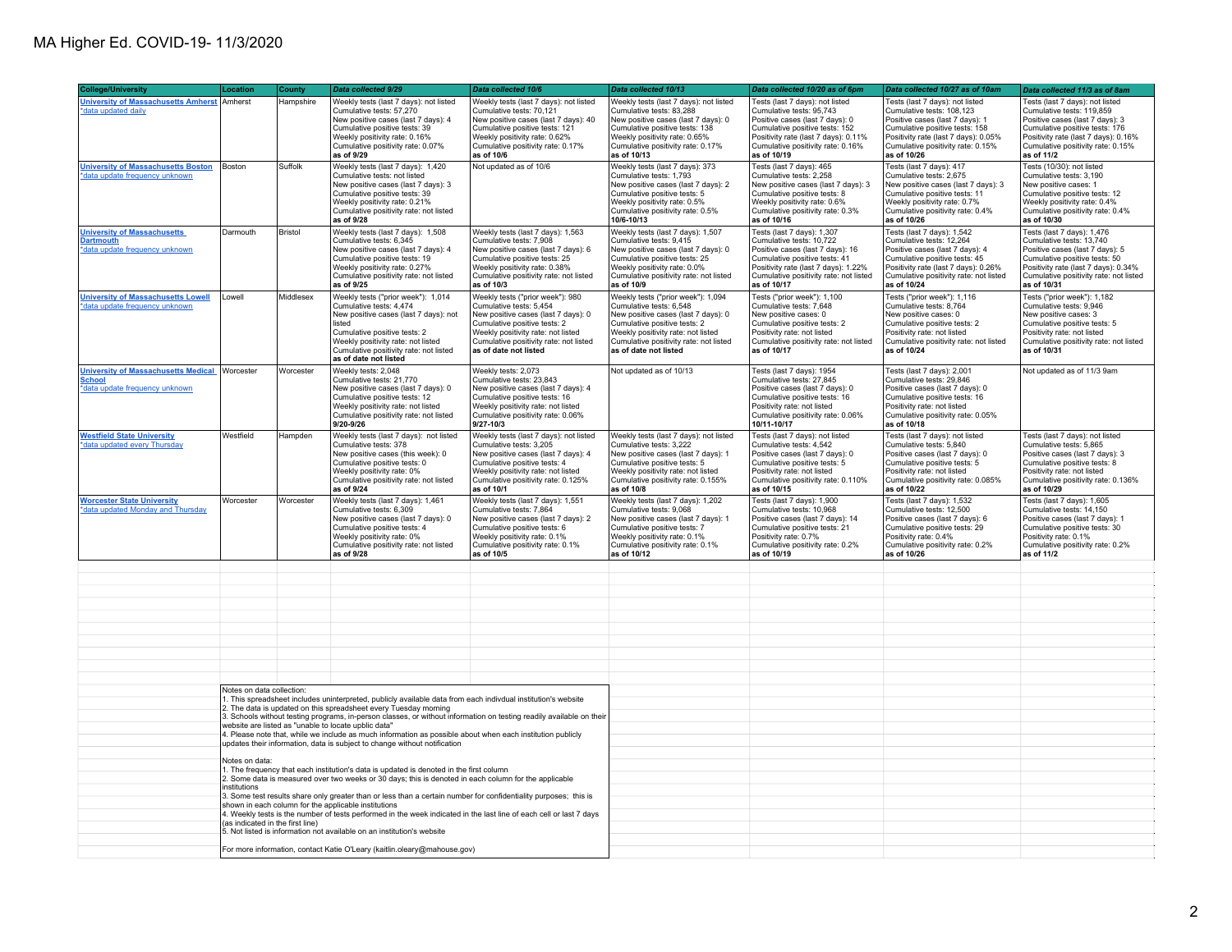| <b>College/University</b>                                                                               | Location                         | <b>County</b> | Data collected 9/29                                                                                                                                                                                                                                       | Data collected 10/6                                                                                                                                                                                                                         | Data collected 10/13                                                                                                                                                                                                                          | Data collected 10/20 as of 6pm                                                                                                                                                                                               | Data collected 10/27 as of 10am                                                                                                                                                                                               | Data collected 11/3 as of 8am                                                                                                                                                                                                |
|---------------------------------------------------------------------------------------------------------|----------------------------------|---------------|-----------------------------------------------------------------------------------------------------------------------------------------------------------------------------------------------------------------------------------------------------------|---------------------------------------------------------------------------------------------------------------------------------------------------------------------------------------------------------------------------------------------|-----------------------------------------------------------------------------------------------------------------------------------------------------------------------------------------------------------------------------------------------|------------------------------------------------------------------------------------------------------------------------------------------------------------------------------------------------------------------------------|-------------------------------------------------------------------------------------------------------------------------------------------------------------------------------------------------------------------------------|------------------------------------------------------------------------------------------------------------------------------------------------------------------------------------------------------------------------------|
| University of Massachusetts Amherst Amherst<br>*data undated daily                                      |                                  | Hampshire     | Weekly tests (last 7 days): not listed<br>Cumulative tests: 57.270<br>New positive cases (last 7 days): 4<br>Cumulative positive tests: 39<br>Weekly positivity rate: 0.16%<br>Cumulative positivity rate: 0.07%<br>as of 9/29                            | Weekly tests (last 7 days): not listed<br>Cumulative tests: 70.121<br>New positive cases (last 7 days): 40<br>Cumulative positive tests: 121<br>Weekly positivity rate: 0.62%<br>Cumulative positivity rate: 0.17%<br>as of 10/6            | Weekly tests (last 7 days): not listed<br>Cumulative tests: 83.288<br>New positive cases (last 7 days): 0<br>Cumulative positive tests: 138<br>Weekly positivity rate: 0.65%<br>Cumulative positivity rate: 0.17%<br>as of 10/13              | Tests (last 7 days): not listed<br>Cumulative tests: 95,743<br>Positive cases (last 7 days): 0<br>Cumulative positive tests: 152<br>Positivity rate (last 7 days): 0.11%<br>Cumulative positivity rate: 0.16%<br>as of 10/19 | Tests (last 7 days): not listed<br>Cumulative tests: 108.123<br>Positive cases (last 7 days): 1<br>Cumulative positive tests: 158<br>Positivity rate (last 7 days): 0.05%<br>Cumulative positivity rate: 0.15%<br>as of 10/26 | Tests (last 7 days): not listed<br>Cumulative tests: 119.859<br>Positive cases (last 7 days): 3<br>Cumulative positive tests: 176<br>Positivity rate (last 7 days): 0.16%<br>Cumulative positivity rate: 0.15%<br>as of 11/2 |
| University of Massachusetts Boston Boston<br>data update frequency unknown                              |                                  | Suffolk       | Weekly tests (last 7 days): 1,420<br>Cumulative tests: not listed<br>New positive cases (last 7 days): 3<br>Cumulative positive tests: 39<br>Weekly positivity rate: 0.21%<br>Cumulative positivity rate: not listed<br>as of 9/28                        | Not updated as of 10/6                                                                                                                                                                                                                      | Weekly tests (last 7 days): 373<br>Cumulative tests: 1,793<br>New positive cases (last 7 days): 2<br>Cumulative positive tests: 5<br>Weekly positivity rate: 0.5%<br>Cumulative positivity rate: 0.5%<br>10/6-10/13                           | Tests (last 7 days): 465<br>Cumulative tests: 2,258<br>New positive cases (last 7 days): 3<br>Cumulative positive tests: 8<br>Weekly positivity rate: 0.6%<br>Cumulative positivity rate: 0.3%<br>as of 10/16                | Tests (last 7 days): 417<br>Cumulative tests: 2,675<br>New positive cases (last 7 days): 3<br>Cumulative positive tests: 11<br>Weekly positivity rate: 0.7%<br>Cumulative positivity rate: 0.4%<br>as of 10/26                | Tests (10/30): not listed<br>Cumulative tests: 3,190<br>New positive cases: 1<br>Cumulative positive tests: 12<br>Weekly positivity rate: 0.4%<br>Cumulative positivity rate: 0.4%<br>as of 10/30                            |
| <b>University of Massachusetts</b><br>Dartmouth<br>*data update frequency unknown                       | Darmouth                         | Bristol       | Weekly tests (last 7 days): 1,508<br>Cumulative tests: 6,345<br>New positive cases (last 7 days): 4<br>Cumulative positive tests: 19<br>Weekly positivity rate: 0.27%<br>Cumulative positivity rate: not listed<br>as of 9/25                             | Weekly tests (last 7 days): 1,563<br>Cumulative tests: 7,908<br>New positive cases (last 7 days): 6<br>Cumulative positive tests: 25<br>Weekly positivity rate: 0.38%<br>Cumulative positivity rate: not listed<br>as of 10/3               | Weekly tests (last 7 days): 1,507<br>Cumulative tests: 9,415<br>New positive cases (last 7 days): 0<br>Cumulative positive tests: 25<br>Weekly positivity rate: 0.0%<br>Cumulative positivity rate: not listed<br>as of 10/9                  | Tests (last 7 days): 1,307<br>Cumulative tests: 10,722<br>Positive cases (last 7 days): 16<br>Cumulative positive tests: 41<br>Positivity rate (last 7 days): 1.22%<br>Cumulative positivity rate: not listed<br>as of 10/17 | Tests (last 7 days): 1,542<br>Cumulative tests: 12,264<br>Positive cases (last 7 days): 4<br>Cumulative positive tests: 45<br>Positivity rate (last 7 days): 0.26%<br>Cumulative positivity rate: not listed<br>as of 10/24   | Tests (last 7 days): 1,476<br>Cumulative tests: 13,740<br>Positive cases (last 7 days): 5<br>Cumulative positive tests: 50<br>Positivity rate (last 7 days): 0.34%<br>Cumulative positivity rate: not listed<br>as of 10/31  |
| <b>University of Massachusetts Lowell</b><br>*data update frequency unknown                             | Lowell                           | Middlesex     | Weekly tests ("prior week"): 1,014<br>Cumulative tests: 4,474<br>New positive cases (last 7 days): not<br>listed<br>Cumulative positive tests: 2<br>Weekly positivity rate: not listed<br>Cumulative positivity rate: not listed<br>as of date not listed | Weekly tests ("prior week"): 980<br>Cumulative tests: 5,454<br>New positive cases (last 7 days): 0<br>Cumulative positive tests: 2<br>Weekly positivity rate: not listed<br>Cumulative positivity rate: not listed<br>as of date not listed | Weekly tests ("prior week"): 1,094<br>Cumulative tests: 6,548<br>New positive cases (last 7 days): 0<br>Cumulative positive tests: 2<br>Weekly positivity rate: not listed<br>Cumulative positivity rate: not listed<br>as of date not listed | Tests ("prior week"): 1,100<br>Cumulative tests: 7,648<br>New positive cases: 0<br>Cumulative positive tests: 2<br>Positivity rate: not listed<br>Cumulative positivity rate: not listed<br>as of 10/17                      | Tests ("prior week"): 1,116<br>Cumulative tests: 8,764<br>New positive cases: 0<br>Cumulative positive tests: 2<br>Positivity rate: not listed<br>Cumulative positivity rate: not listed<br>as of 10/24                       | Tests ("prior week"): 1,182<br>Cumulative tests: 9,946<br>New positive cases: 3<br>Cumulative positive tests: 5<br>Positivity rate: not listed<br>Cumulative positivity rate: not listed<br>as of 10/31                      |
| <b>University of Massachusetts Medical Worcester</b><br><b>School</b><br>*data update frequency unknown |                                  | Worcester     | Weekly tests: 2,048<br>Cumulative tests: 21,770<br>New positive cases (last 7 days): 0<br>Cumulative positive tests: 12<br>Weekly positivity rate: not listed<br>Cumulative positivity rate: not listed<br>9/20-9/26                                      | Weekly tests: 2,073<br>Cumulative tests: 23,843<br>New positive cases (last 7 days): 4<br>Cumulative positive tests: 16<br>Weekly positivity rate: not listed<br>Cumulative positivity rate: 0.06%<br>$9/27 - 10/3$                         | Not updated as of 10/13                                                                                                                                                                                                                       | Tests (last 7 days): 1954<br>Cumulative tests: 27.845<br>Positive cases (last 7 days): 0<br>Cumulative positive tests: 16<br>Positivity rate: not listed<br>Cumulative positivity rate: 0.06%<br>10/11-10/17                 | Tests (last 7 days): 2,001<br>Cumulative tests: 29.846<br>Positive cases (last 7 days): 0<br>Cumulative positive tests: 16<br>Positivity rate: not listed<br>Cumulative positivity rate: 0.05%<br>as of 10/18                 | Not updated as of 11/3 9am                                                                                                                                                                                                   |
| <b>Westfield State University</b><br>data updated every Thursday                                        | Westfield                        | Hampden       | Weekly tests (last 7 days): not listed<br>Cumulative tests: 378<br>New positive cases (this week): 0<br>Cumulative positive tests: 0<br>Weekly positivity rate: 0%<br>Cumulative positivity rate: not listed<br>as of 9/24                                | Weekly tests (last 7 days): not listed<br>Cumulative tests: 3,205<br>New positive cases (last 7 days): 4<br>Cumulative positive tests: 4<br>Weekly positivity rate: not listed<br>Cumulative positivity rate: 0.125%<br>as of 10/1          | Weekly tests (last 7 days): not listed<br>Cumulative tests: 3,222<br>New positive cases (last 7 days): 1<br>Cumulative positive tests: 5<br>Weekly positivity rate: not listed<br>Cumulative positivity rate: 0.155%<br>as of 10/8            | Tests (last 7 days): not listed<br>Cumulative tests: 4,542<br>Positive cases (last 7 days): 0<br>Cumulative positive tests: 5<br>Positivity rate: not listed<br>Cumulative positivity rate: 0.110%<br>as of 10/15            | Tests (last 7 days): not listed<br>Cumulative tests: 5,840<br>Positive cases (last 7 days): 0<br>Cumulative positive tests: 5<br>Positivity rate: not listed<br>Cumulative positivity rate: 0.085%<br>as of 10/22             | Tests (last 7 days): not listed<br>Cumulative tests: 5,865<br>Positive cases (last 7 days): 3<br>Cumulative positive tests: 8<br>Positivity rate: not listed<br>Cumulative positivity rate: 0.136%<br>as of 10/29            |
| <b>Worcester State University</b><br>data updated Monday and Thursday                                   | Worcester                        | Worcester     | Weekly tests (last 7 days): 1,461<br>Cumulative tests: 6.309<br>New positive cases (last 7 days): 0<br>Cumulative positive tests: 4<br>Weekly positivity rate: 0%<br>Cumulative positivity rate: not listed<br>as of 9/28                                 | Weekly tests (last 7 days): 1,551<br>Cumulative tests: 7.864<br>New positive cases (last 7 days): 2<br>Cumulative positive tests: 6<br>Weekly positivity rate: 0.1%<br>Cumulative positivity rate: 0.1%<br>as of 10/5                       | Weekly tests (last 7 days): 1,202<br>Cumulative tests: 9,068<br>New positive cases (last 7 days): 1<br>Cumulative positive tests: 7<br>Weekly positivity rate: 0.1%<br>Cumulative positivity rate: 0.1%<br>as of 10/12                        | Tests (last 7 days): 1,900<br>Cumulative tests: 10,968<br>Positive cases (last 7 days): 14<br>Cumulative positive tests: 21<br>Positivity rate: 0.7%<br>Cumulative positivity rate: 0.2%<br>as of 10/19                      | Tests (last 7 days): 1,532<br>Cumulative tests: 12.500<br>Positive cases (last 7 days): 6<br>Cumulative positive tests: 29<br>Positivity rate: 0.4%<br>Cumulative positivity rate: 0.2%<br>as of 10/26                        | Tests (last 7 days): 1,605<br>Cumulative tests: 14.150<br>Positive cases (last 7 days): 1<br>Cumulative positive tests: 30<br>Positivity rate: 0.1%<br>Cumulative positivity rate: 0.2%<br>as of 11/2                        |
|                                                                                                         |                                  |               |                                                                                                                                                                                                                                                           |                                                                                                                                                                                                                                             |                                                                                                                                                                                                                                               |                                                                                                                                                                                                                              |                                                                                                                                                                                                                               |                                                                                                                                                                                                                              |
|                                                                                                         |                                  |               |                                                                                                                                                                                                                                                           |                                                                                                                                                                                                                                             |                                                                                                                                                                                                                                               |                                                                                                                                                                                                                              |                                                                                                                                                                                                                               |                                                                                                                                                                                                                              |
|                                                                                                         |                                  |               |                                                                                                                                                                                                                                                           |                                                                                                                                                                                                                                             |                                                                                                                                                                                                                                               |                                                                                                                                                                                                                              |                                                                                                                                                                                                                               |                                                                                                                                                                                                                              |
|                                                                                                         |                                  |               |                                                                                                                                                                                                                                                           |                                                                                                                                                                                                                                             |                                                                                                                                                                                                                                               |                                                                                                                                                                                                                              |                                                                                                                                                                                                                               |                                                                                                                                                                                                                              |
|                                                                                                         |                                  |               |                                                                                                                                                                                                                                                           |                                                                                                                                                                                                                                             |                                                                                                                                                                                                                                               |                                                                                                                                                                                                                              |                                                                                                                                                                                                                               |                                                                                                                                                                                                                              |
|                                                                                                         |                                  |               |                                                                                                                                                                                                                                                           |                                                                                                                                                                                                                                             |                                                                                                                                                                                                                                               |                                                                                                                                                                                                                              |                                                                                                                                                                                                                               |                                                                                                                                                                                                                              |
|                                                                                                         |                                  |               |                                                                                                                                                                                                                                                           |                                                                                                                                                                                                                                             |                                                                                                                                                                                                                                               |                                                                                                                                                                                                                              |                                                                                                                                                                                                                               |                                                                                                                                                                                                                              |
|                                                                                                         |                                  |               |                                                                                                                                                                                                                                                           |                                                                                                                                                                                                                                             |                                                                                                                                                                                                                                               |                                                                                                                                                                                                                              |                                                                                                                                                                                                                               |                                                                                                                                                                                                                              |
|                                                                                                         |                                  |               |                                                                                                                                                                                                                                                           |                                                                                                                                                                                                                                             |                                                                                                                                                                                                                                               |                                                                                                                                                                                                                              |                                                                                                                                                                                                                               |                                                                                                                                                                                                                              |
|                                                                                                         | Notes on data collection:        |               | 1. This spreadsheet includes uninterpreted, publicly available data from each indivdual institution's website                                                                                                                                             |                                                                                                                                                                                                                                             |                                                                                                                                                                                                                                               |                                                                                                                                                                                                                              |                                                                                                                                                                                                                               |                                                                                                                                                                                                                              |
|                                                                                                         |                                  |               | 2. The data is updated on this spreadsheet every Tuesday morning                                                                                                                                                                                          |                                                                                                                                                                                                                                             |                                                                                                                                                                                                                                               |                                                                                                                                                                                                                              |                                                                                                                                                                                                                               |                                                                                                                                                                                                                              |
|                                                                                                         |                                  |               | 3. Schools without testing programs, in-person classes, or without information on testing readily available on their<br>website are listed as "unable to locate upblic data"                                                                              |                                                                                                                                                                                                                                             |                                                                                                                                                                                                                                               |                                                                                                                                                                                                                              |                                                                                                                                                                                                                               |                                                                                                                                                                                                                              |
|                                                                                                         |                                  |               | 4. Please note that, while we include as much information as possible about when each institution publicly                                                                                                                                                |                                                                                                                                                                                                                                             |                                                                                                                                                                                                                                               |                                                                                                                                                                                                                              |                                                                                                                                                                                                                               |                                                                                                                                                                                                                              |
|                                                                                                         |                                  |               | updates their information, data is subject to change without notification                                                                                                                                                                                 |                                                                                                                                                                                                                                             |                                                                                                                                                                                                                                               |                                                                                                                                                                                                                              |                                                                                                                                                                                                                               |                                                                                                                                                                                                                              |
|                                                                                                         | Notes on data:                   |               | 1. The frequency that each institution's data is updated is denoted in the first column                                                                                                                                                                   |                                                                                                                                                                                                                                             |                                                                                                                                                                                                                                               |                                                                                                                                                                                                                              |                                                                                                                                                                                                                               |                                                                                                                                                                                                                              |
|                                                                                                         |                                  |               | 2. Some data is measured over two weeks or 30 days; this is denoted in each column for the applicable                                                                                                                                                     |                                                                                                                                                                                                                                             |                                                                                                                                                                                                                                               |                                                                                                                                                                                                                              |                                                                                                                                                                                                                               |                                                                                                                                                                                                                              |
|                                                                                                         | institutions                     |               | 3. Some test results share only greater than or less than a certain number for confidentiality purposes; this is                                                                                                                                          |                                                                                                                                                                                                                                             |                                                                                                                                                                                                                                               |                                                                                                                                                                                                                              |                                                                                                                                                                                                                               |                                                                                                                                                                                                                              |
|                                                                                                         |                                  |               | shown in each column for the applicable institutions                                                                                                                                                                                                      |                                                                                                                                                                                                                                             |                                                                                                                                                                                                                                               |                                                                                                                                                                                                                              |                                                                                                                                                                                                                               |                                                                                                                                                                                                                              |
|                                                                                                         | (as indicated in the first line) |               | 4. Weekly tests is the number of tests performed in the week indicated in the last line of each cell or last 7 days                                                                                                                                       |                                                                                                                                                                                                                                             |                                                                                                                                                                                                                                               |                                                                                                                                                                                                                              |                                                                                                                                                                                                                               |                                                                                                                                                                                                                              |
|                                                                                                         |                                  |               | 5. Not listed is information not available on an institution's website                                                                                                                                                                                    |                                                                                                                                                                                                                                             |                                                                                                                                                                                                                                               |                                                                                                                                                                                                                              |                                                                                                                                                                                                                               |                                                                                                                                                                                                                              |
|                                                                                                         |                                  |               | For more information, contact Katie O'Leary (kaitlin.oleary@mahouse.gov)                                                                                                                                                                                  |                                                                                                                                                                                                                                             |                                                                                                                                                                                                                                               |                                                                                                                                                                                                                              |                                                                                                                                                                                                                               |                                                                                                                                                                                                                              |
|                                                                                                         |                                  |               |                                                                                                                                                                                                                                                           |                                                                                                                                                                                                                                             |                                                                                                                                                                                                                                               |                                                                                                                                                                                                                              |                                                                                                                                                                                                                               |                                                                                                                                                                                                                              |